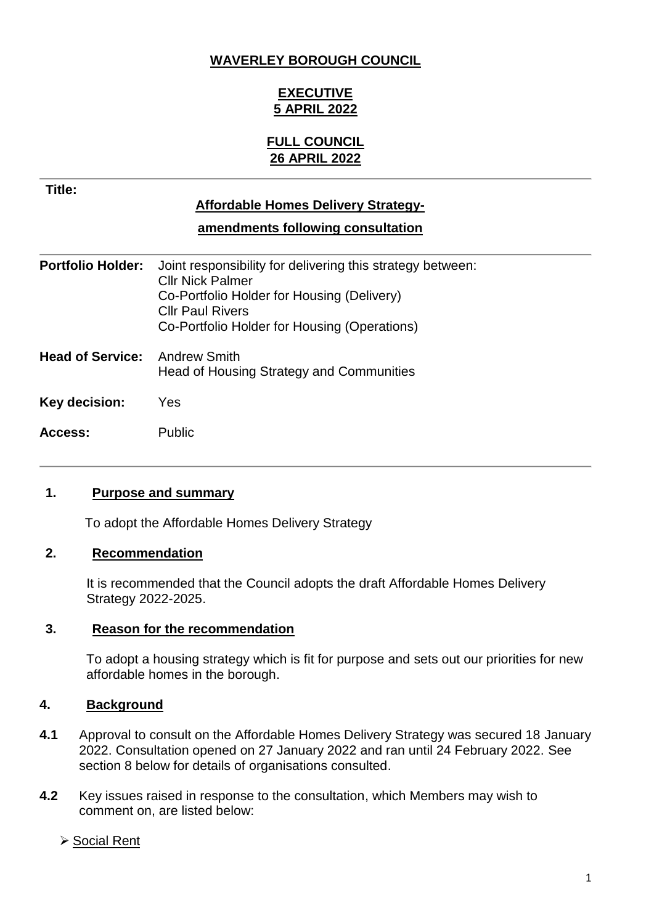#### **WAVERLEY BOROUGH COUNCIL**

## **EXECUTIVE 5 APRIL 2022**

### **FULL COUNCIL 26 APRIL 2022**

**Title:**

## **Affordable Homes Delivery Strategy-**

**amendments following consultation**

| <b>Portfolio Holder:</b> | Joint responsibility for delivering this strategy between:<br><b>CIIr Nick Palmer</b><br>Co-Portfolio Holder for Housing (Delivery)<br><b>Cllr Paul Rivers</b><br>Co-Portfolio Holder for Housing (Operations) |
|--------------------------|----------------------------------------------------------------------------------------------------------------------------------------------------------------------------------------------------------------|
| <b>Head of Service:</b>  | <b>Andrew Smith</b><br>Head of Housing Strategy and Communities                                                                                                                                                |
| Key decision:            | Yes.                                                                                                                                                                                                           |
| Access:                  | <b>Public</b>                                                                                                                                                                                                  |

### **1. Purpose and summary**

To adopt the Affordable Homes Delivery Strategy

#### **2. Recommendation**

It is recommended that the Council adopts the draft Affordable Homes Delivery Strategy 2022-2025.

#### **3. Reason for the recommendation**

To adopt a housing strategy which is fit for purpose and sets out our priorities for new affordable homes in the borough.

### **4. Background**

- **4.1** Approval to consult on the Affordable Homes Delivery Strategy was secured 18 January 2022. Consultation opened on 27 January 2022 and ran until 24 February 2022. See section 8 below for details of organisations consulted.
- **4.2** Key issues raised in response to the consultation, which Members may wish to comment on, are listed below:

#### **≻ Social Rent**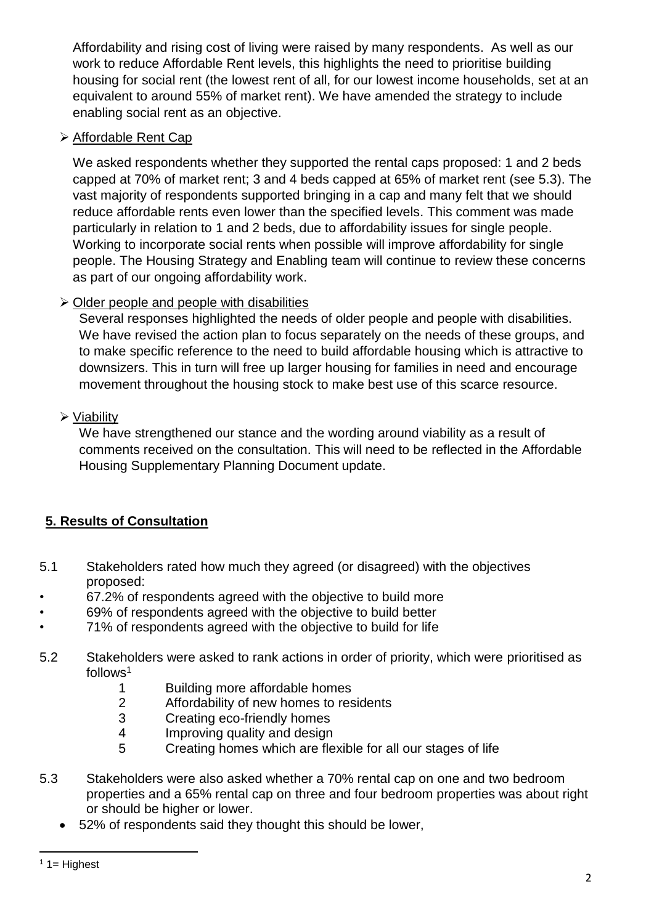Affordability and rising cost of living were raised by many respondents. As well as our work to reduce Affordable Rent levels, this highlights the need to prioritise building housing for social rent (the lowest rent of all, for our lowest income households, set at an equivalent to around 55% of market rent). We have amended the strategy to include enabling social rent as an objective.

## Affordable Rent Cap

We asked respondents whether they supported the rental caps proposed: 1 and 2 beds capped at 70% of market rent; 3 and 4 beds capped at 65% of market rent (see 5.3). The vast majority of respondents supported bringing in a cap and many felt that we should reduce affordable rents even lower than the specified levels. This comment was made particularly in relation to 1 and 2 beds, due to affordability issues for single people. Working to incorporate social rents when possible will improve affordability for single people. The Housing Strategy and Enabling team will continue to review these concerns as part of our ongoing affordability work.

## $\triangleright$  Older people and people with disabilities

Several responses highlighted the needs of older people and people with disabilities. We have revised the action plan to focus separately on the needs of these groups, and to make specific reference to the need to build affordable housing which is attractive to downsizers. This in turn will free up larger housing for families in need and encourage movement throughout the housing stock to make best use of this scarce resource.

## Viability

We have strengthened our stance and the wording around viability as a result of comments received on the consultation. This will need to be reflected in the Affordable Housing Supplementary Planning Document update.

## **5. Results of Consultation**

- 5.1 Stakeholders rated how much they agreed (or disagreed) with the objectives proposed:
- 67.2% of respondents agreed with the objective to build more
- 69% of respondents agreed with the objective to build better
- 71% of respondents agreed with the objective to build for life
- 5.2 Stakeholders were asked to rank actions in order of priority, which were prioritised as  $follows<sup>1</sup>$ 
	- 1 Building more affordable homes
	- 2 Affordability of new homes to residents
	- 3 Creating eco-friendly homes
	- 4 Improving quality and design
	- 5 Creating homes which are flexible for all our stages of life
- 5.3 Stakeholders were also asked whether a 70% rental cap on one and two bedroom properties and a 65% rental cap on three and four bedroom properties was about right or should be higher or lower.
	- 52% of respondents said they thought this should be lower,

**<sup>.</sup>**  $1$  1= Highest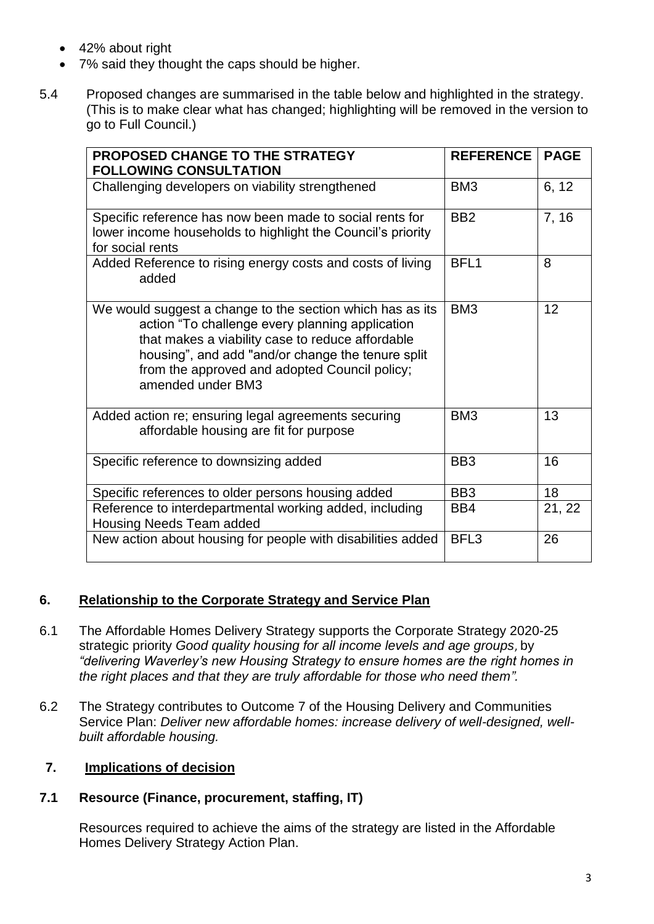- 42% about right
- 7% said they thought the caps should be higher.
- 5.4 Proposed changes are summarised in the table below and highlighted in the strategy. (This is to make clear what has changed; highlighting will be removed in the version to go to Full Council.)

| <b>PROPOSED CHANGE TO THE STRATEGY</b><br><b>FOLLOWING CONSULTATION</b>                                                                                                                                                                                                                     | <b>REFERENCE</b> | <b>PAGE</b> |
|---------------------------------------------------------------------------------------------------------------------------------------------------------------------------------------------------------------------------------------------------------------------------------------------|------------------|-------------|
| Challenging developers on viability strengthened                                                                                                                                                                                                                                            | BM <sub>3</sub>  | 6, 12       |
| Specific reference has now been made to social rents for<br>lower income households to highlight the Council's priority<br>for social rents                                                                                                                                                 | B <sub>B2</sub>  | 7, 16       |
| Added Reference to rising energy costs and costs of living<br>added                                                                                                                                                                                                                         | BFL <sub>1</sub> | 8           |
| We would suggest a change to the section which has as its<br>action "To challenge every planning application<br>that makes a viability case to reduce affordable<br>housing", and add "and/or change the tenure split<br>from the approved and adopted Council policy;<br>amended under BM3 | BM <sub>3</sub>  | 12          |
| Added action re; ensuring legal agreements securing<br>affordable housing are fit for purpose                                                                                                                                                                                               | BM <sub>3</sub>  | 13          |
| Specific reference to downsizing added                                                                                                                                                                                                                                                      | BB <sub>3</sub>  | 16          |
| Specific references to older persons housing added                                                                                                                                                                                                                                          | BB <sub>3</sub>  | 18          |
| Reference to interdepartmental working added, including<br><b>Housing Needs Team added</b>                                                                                                                                                                                                  | BB4              | 21, 22      |
| New action about housing for people with disabilities added                                                                                                                                                                                                                                 | BFL3             | 26          |

### **6. Relationship to the Corporate Strategy and Service Plan**

- 6.1 The Affordable Homes Delivery Strategy supports the Corporate Strategy 2020-25 strategic priority *Good quality housing for all income levels and age groups*, by *"delivering Waverley's new Housing Strategy to ensure homes are the right homes in the right places and that they are truly affordable for those who need them".*
- 6.2 The Strategy contributes to Outcome 7 of the Housing Delivery and Communities Service Plan: *Deliver new affordable homes: increase delivery of well-designed, wellbuilt affordable housing.*

#### **7. Implications of decision**

#### **7.1 Resource (Finance, procurement, staffing, IT)**

Resources required to achieve the aims of the strategy are listed in the Affordable Homes Delivery Strategy Action Plan.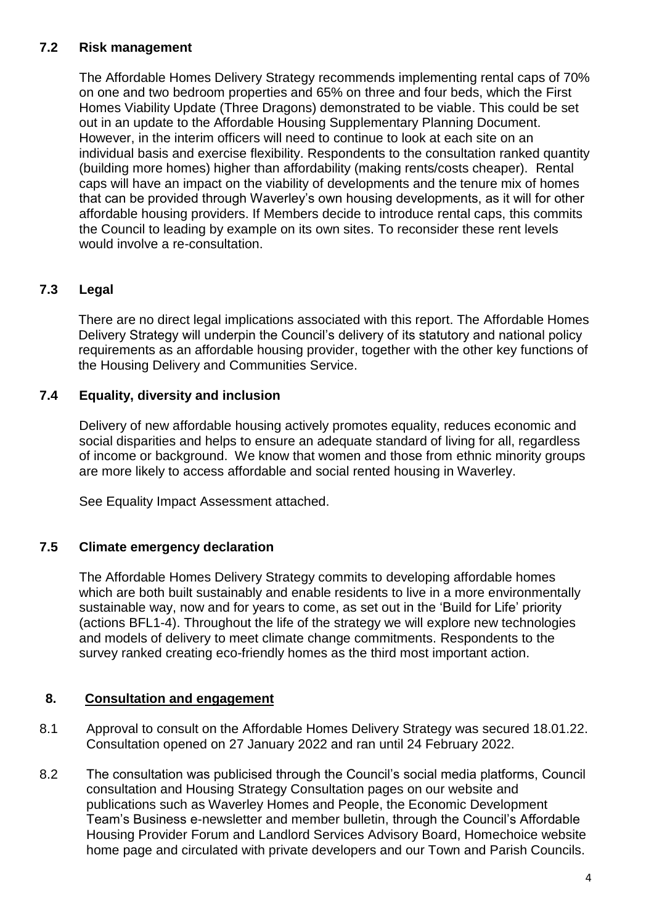### **7.2 Risk management**

The Affordable Homes Delivery Strategy recommends implementing rental caps of 70% on one and two bedroom properties and 65% on three and four beds, which the First Homes Viability Update (Three Dragons) demonstrated to be viable. This could be set out in an update to the Affordable Housing Supplementary Planning Document. However, in the interim officers will need to continue to look at each site on an individual basis and exercise flexibility. Respondents to the consultation ranked quantity (building more homes) higher than affordability (making rents/costs cheaper). Rental caps will have an impact on the viability of developments and the tenure mix of homes that can be provided through Waverley's own housing developments, as it will for other affordable housing providers. If Members decide to introduce rental caps, this commits the Council to leading by example on its own sites. To reconsider these rent levels would involve a re-consultation.

## **7.3 Legal**

There are no direct legal implications associated with this report. The Affordable Homes Delivery Strategy will underpin the Council's delivery of its statutory and national policy requirements as an affordable housing provider, together with the other key functions of the Housing Delivery and Communities Service.

### **7.4 Equality, diversity and inclusion**

Delivery of new affordable housing actively promotes equality, reduces economic and social disparities and helps to ensure an adequate standard of living for all, regardless of income or background. We know that women and those from ethnic minority groups are more likely to access affordable and social rented housing in Waverley.

See Equality Impact Assessment attached.

#### **7.5 Climate emergency declaration**

The Affordable Homes Delivery Strategy commits to developing affordable homes which are both built sustainably and enable residents to live in a more environmentally sustainable way, now and for years to come, as set out in the 'Build for Life' priority (actions BFL1-4). Throughout the life of the strategy we will explore new technologies and models of delivery to meet climate change commitments. Respondents to the survey ranked creating eco-friendly homes as the third most important action.

### **8. Consultation and engagement**

- 8.1 Approval to consult on the Affordable Homes Delivery Strategy was secured 18.01.22. Consultation opened on 27 January 2022 and ran until 24 February 2022.
- 8.2 The consultation was publicised through the Council's social media platforms, Council consultation and Housing Strategy Consultation pages on our website and publications such as Waverley Homes and People, the Economic Development Team's Business e-newsletter and member bulletin, through the Council's Affordable Housing Provider Forum and Landlord Services Advisory Board, Homechoice website home page and circulated with private developers and our Town and Parish Councils.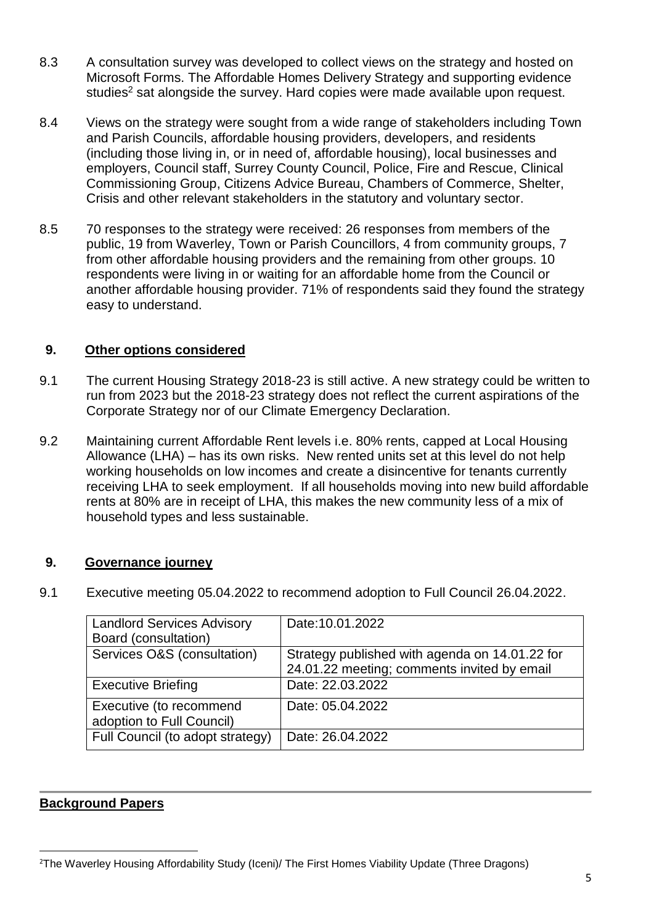- 8.3 A consultation survey was developed to collect views on the strategy and hosted on Microsoft Forms. The Affordable Homes Delivery Strategy and supporting evidence studies<sup>2</sup> sat alongside the survey. Hard copies were made available upon request.
- 8.4 Views on the strategy were sought from a wide range of stakeholders including Town and Parish Councils, affordable housing providers, developers, and residents (including those living in, or in need of, affordable housing), local businesses and employers, Council staff, Surrey County Council, Police, Fire and Rescue, Clinical Commissioning Group, Citizens Advice Bureau, Chambers of Commerce, Shelter, Crisis and other relevant stakeholders in the statutory and voluntary sector.
- 8.5 70 responses to the strategy were received: 26 responses from members of the public, 19 from Waverley, Town or Parish Councillors, 4 from community groups, 7 from other affordable housing providers and the remaining from other groups. 10 respondents were living in or waiting for an affordable home from the Council or another affordable housing provider. 71% of respondents said they found the strategy easy to understand.

### **9. Other options considered**

- 9.1 The current Housing Strategy 2018-23 is still active. A new strategy could be written to run from 2023 but the 2018-23 strategy does not reflect the current aspirations of the Corporate Strategy nor of our Climate Emergency Declaration.
- 9.2 Maintaining current Affordable Rent levels i.e. 80% rents, capped at Local Housing Allowance (LHA) – has its own risks. New rented units set at this level do not help working households on low incomes and create a disincentive for tenants currently receiving LHA to seek employment. If all households moving into new build affordable rents at 80% are in receipt of LHA, this makes the new community less of a mix of household types and less sustainable.

### **9. Governance journey**

9.1 Executive meeting 05.04.2022 to recommend adoption to Full Council 26.04.2022.

| Date: 10.01.2022                               |
|------------------------------------------------|
|                                                |
| Strategy published with agenda on 14.01.22 for |
| 24.01.22 meeting; comments invited by email    |
| Date: 22.03.2022                               |
| Date: 05.04.2022                               |
|                                                |
| Date: 26.04.2022                               |
|                                                |

### **Background Papers**

**<sup>.</sup>** <sup>2</sup>The Waverley Housing Affordability Study (Iceni)/ The First Homes Viability Update (Three Dragons)